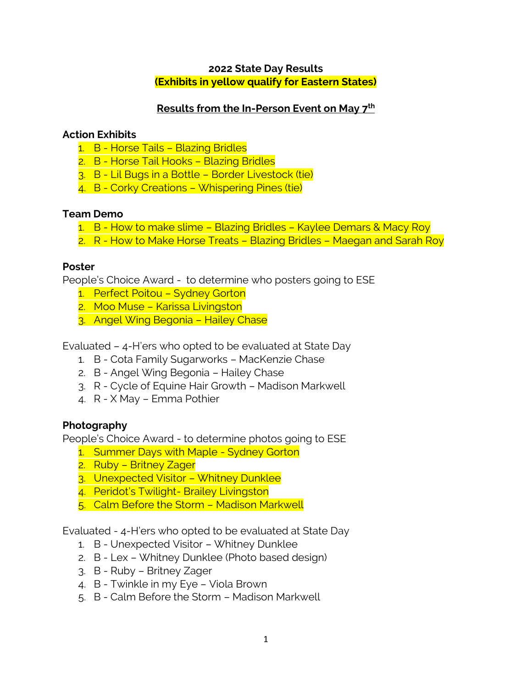## **2022 State Day Results (Exhibits in yellow qualify for Eastern States)**

# **Results from the In-Person Event on May 7th**

### **Action Exhibits**

- 1. B Horse Tails Blazing Bridles
- 2. B Horse Tail Hooks Blazing Bridles
- 3. B Lil Bugs in a Bottle Border Livestock (tie)
- 4. B Corky Creations Whispering Pines (tie)

### **Team Demo**

- 1. B How to make slime Blazing Bridles Kaylee Demars & Macy Roy
- 2. R How to Make Horse Treats Blazing Bridles Maegan and Sarah Roy

### **Poster**

People's Choice Award - to determine who posters going to ESE

- 1. Perfect Poitou Sydney Gorton
- 2. Moo Muse Karissa Livingston
- 3. Angel Wing Begonia Hailey Chase

Evaluated – 4-H'ers who opted to be evaluated at State Day

- 1. B Cota Family Sugarworks MacKenzie Chase
- 2. B Angel Wing Begonia Hailey Chase
- 3. R Cycle of Equine Hair Growth Madison Markwell
- 4. R X May Emma Pothier

## **Photography**

People's Choice Award - to determine photos going to ESE

- 1. Summer Days with Maple Sydney Gorton
- 2. Ruby Britney Zager
- 3. Unexpected Visitor Whitney Dunklee
- 4. Peridot's Twilight- Brailey Livingston
- 5. Calm Before the Storm Madison Markwell

Evaluated - 4-H'ers who opted to be evaluated at State Day

- 1. B Unexpected Visitor Whitney Dunklee
- 2. B Lex Whitney Dunklee (Photo based design)
- 3. B Ruby Britney Zager
- 4. B Twinkle in my Eye Viola Brown
- 5. B Calm Before the Storm Madison Markwell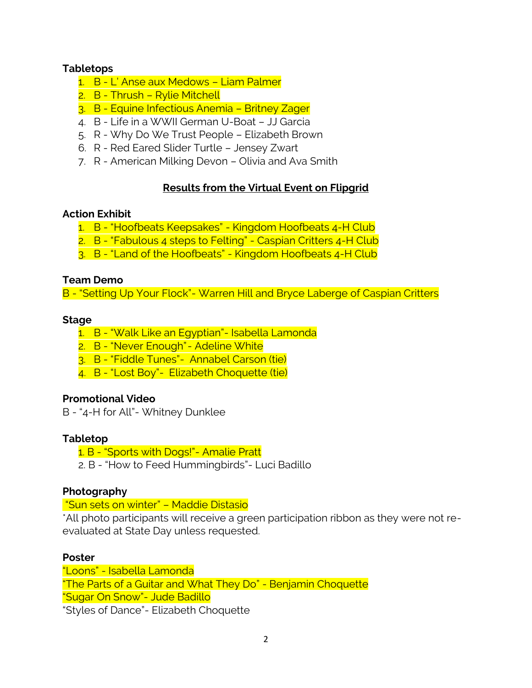## **Tabletops**

- 1. B L' Anse aux Medows Liam Palmer
- 2. B Thrush Rylie Mitchell
- 3. B Equine Infectious Anemia Britney Zager
- 4. B Life in a WWII German U-Boat JJ Garcia
- 5. R Why Do We Trust People Elizabeth Brown
- 6. R Red Eared Slider Turtle Jensey Zwart
- 7. R American Milking Devon Olivia and Ava Smith

### **Results from the Virtual Event on Flipgrid**

### **Action Exhibit**

- 1. B "Hoofbeats Keepsakes" Kingdom Hoofbeats 4-H Club
- 2. B "Fabulous 4 steps to Felting" Caspian Critters 4-H Club
- 3. B "Land of the Hoofbeats" Kingdom Hoofbeats 4-H Club

### **Team Demo**

B - "Setting Up Your Flock"- Warren Hill and Bryce Laberge of Caspian Critters

#### **Stage**

- 1. B "Walk Like an Egyptian"- Isabella Lamonda
- 2. B "Never Enough"- Adeline White
- 3. B "Fiddle Tunes"- Annabel Carson (tie)
- 4. B "Lost Boy" Elizabeth Choquette (tie)

### **Promotional Video**

B - "4-H for All"- Whitney Dunklee

### **Tabletop**

- 1. B "Sports with Dogs!"- Amalie Pratt
- 2. B "How to Feed Hummingbirds"- Luci Badillo

### **Photography**

"Sun sets on winter" – Maddie Distasio

\*All photo participants will receive a green participation ribbon as they were not reevaluated at State Day unless requested.

### **Poster**

"Loons" - Isabella Lamonda "The Parts of a Guitar and What They Do" - Benjamin Choquette "Sugar On Snow"- Jude Badillo "Styles of Dance"- Elizabeth Choquette